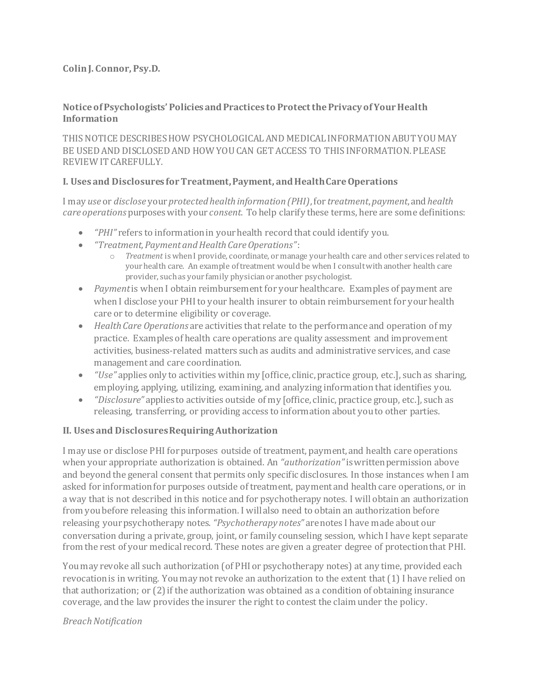## **Colin J. Connor, Psy.D.**

## **Notice of Psychologists' Policies and Practices to Protect the Privacy of Your Health Information**

THIS NOTICE DESCRIBES HOW PSYCHOLOGICAL AND MEDICAL INFORMATION ABUT YOU MAY BE USED AND DISCLOSED AND HOW YOU CAN GET ACCESS TO THIS INFORMATION. PLEASE REVIEW IT CAREFULLY.

# **I. Uses and Disclosures for Treatment, Payment, and Health Care Operations**

I may *use* or *disclose* your *protected health information (PHI)*, for *treatment*, *payment*, and *health care operations* purposes with your *consent*. To help clarify these terms, here are some definitions:

- *"PHI"* refers to information in your health record that could identify you.
- *"Treatment, Payment and Health Care Operations"*:
	- *Treatment* is when I provide, coordinate, or manage your health care and other services related to your health care. An example of treatment would be when I consult with another health care provider, such as your family physician or another psychologist.
- *Payment*is when I obtain reimbursement for your healthcare. Examples of payment are when I disclose your PHI to your health insurer to obtain reimbursement for your health care or to determine eligibility or coverage.
- *Health Care Operations* are activities that relate to the performance and operation of my practice. Examples of health care operations are quality assessment and improvement activities, business-related matters such as audits and administrative services, and case management and care coordination.
- *"Use"* applies only to activities within my [office, clinic, practice group, etc.], such as sharing, employing, applying, utilizing, examining, and analyzing information that identifies you.
- *"Disclosure"* applies to activities outside of my [office, clinic, practice group, etc.], such as releasing, transferring, or providing access to information about you to other parties.

# **II. Uses and Disclosures Requiring Authorization**

I may use or disclose PHI for purposes outside of treatment, payment, and health care operations when your appropriate authorization is obtained. An *"authorization"*is written permission above and beyond the general consent that permits only specific disclosures. In those instances when I am asked for information for purposes outside of treatment, payment and health care operations, or in a way that is not described in this notice and for psychotherapy notes. I will obtain an authorization from you before releasing this information. I will also need to obtain an authorization before releasing your psychotherapy notes. *"Psychotherapy notes"* are notes I have made about our conversation during a private, group, joint, or family counseling session, which I have kept separate from the rest of your medical record. These notes are given a greater degree of protection that PHI.

You may revoke all such authorization (of PHI or psychotherapy notes) at any time, provided each revocation is in writing. You may not revoke an authorization to the extent that (1) I have relied on that authorization; or (2) if the authorization was obtained as a condition of obtaining insurance coverage, and the law provides the insurer the right to contest the claim under the policy.

#### *Breach Notification*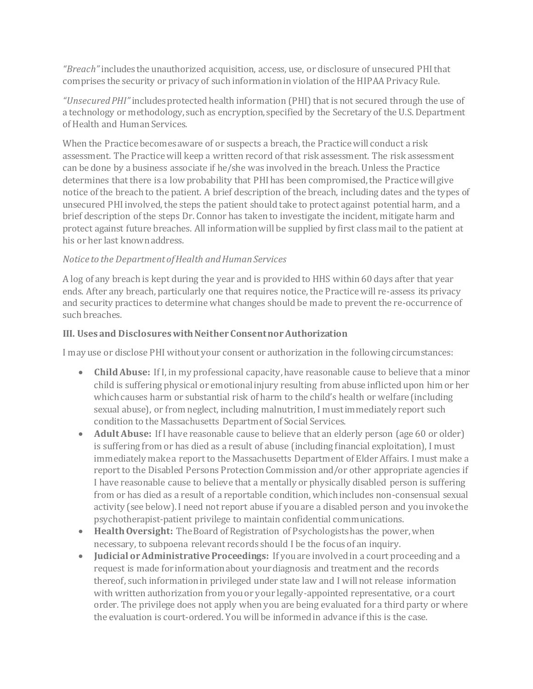*"Breach"*includes the unauthorized acquisition, access, use, or disclosure of unsecured PHI that comprises the security or privacy of such information in violation of the HIPAA Privacy Rule.

*"Unsecured PHI"*includes protected health information (PHI) that is not secured through the use of a technology or methodology, such as encryption, specified by the Secretary of the U.S. Department of Health and Human Services.

When the Practice becomes aware of or suspects a breach, the Practice will conduct a risk assessment. The Practice will keep a written record of that risk assessment. The risk assessment can be done by a business associate if he/she was involved in the breach. Unless the Practice determines that there is a low probability that PHI has been compromised, the Practice will give notice of the breach to the patient. A brief description of the breach, including dates and the types of unsecured PHI involved, the steps the patient should take to protect against potential harm, and a brief description of the steps Dr. Connor has taken to investigate the incident, mitigate harm and protect against future breaches. All information will be supplied by first class mail to the patient at his or her last known address.

### *Notice to the Department of Health and Human Services*

A log of any breach is kept during the year and is provided to HHS within 60 days after that year ends. After any breach, particularly one that requires notice, the Practice will re-assess its privacy and security practices to determine what changes should be made to prevent the re-occurrence of such breaches.

### **III. Uses and Disclosures with Neither Consent nor Authorization**

I may use or disclose PHI without your consent or authorization in the following circumstances:

- **Child Abuse:** If I, in my professional capacity, have reasonable cause to believe that a minor child is suffering physical or emotional injury resulting from abuse inflicted upon him or her which causes harm or substantial risk of harm to the child's health or welfare (including sexual abuse), or from neglect, including malnutrition, I must immediately report such condition to the Massachusetts Department of Social Services.
- **Adult Abuse:** If I have reasonable cause to believe that an elderly person (age 60 or older) is suffering from or has died as a result of abuse (including financial exploitation), I must immediately make a report to the Massachusetts Department of Elder Affairs. I must make a report to the Disabled Persons Protection Commission and/or other appropriate agencies if I have reasonable cause to believe that a mentally or physically disabled person is suffering from or has died as a result of a reportable condition, which includes non-consensual sexual activity (see below). I need not report abuse if you are a disabled person and you invoke the psychotherapist-patient privilege to maintain confidential communications.
- **Health Oversight:** The Board of Registration of Psychologists has the power, when necessary, to subpoena relevant records should I be the focus of an inquiry.
- **Judicial or Administrative Proceedings:** If you are involved in a court proceeding and a request is made for information about your diagnosis and treatment and the records thereof, such information in privileged under state law and I will not release information with written authorization from you or your legally-appointed representative, or a court order. The privilege does not apply when you are being evaluated for a third party or where the evaluation is court-ordered. You will be informed in advance if this is the case.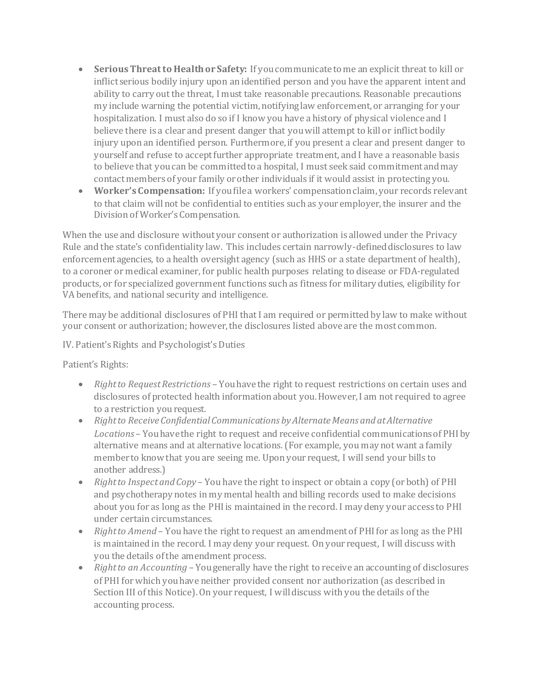- **Serious Threat to Health or Safety:** If you communicate to me an explicit threat to kill or inflict serious bodily injury upon an identified person and you have the apparent intent and ability to carry out the threat, I must take reasonable precautions. Reasonable precautions my include warning the potential victim, notifying law enforcement, or arranging for your hospitalization. I must also do so if I know you have a history of physical violence and I believe there is a clear and present danger that you will attempt to kill or inflict bodily injury upon an identified person. Furthermore, if you present a clear and present danger to yourself and refuse to accept further appropriate treatment, and I have a reasonable basis to believe that you can be committed to a hospital, I must seek said commitment and may contact members of your family or other individuals if it would assist in protecting you.
- **Worker's Compensation:** If you file a workers' compensation claim, your records relevant to that claim will not be confidential to entities such as your employer, the insurer and the Division of Worker's Compensation.

When the use and disclosure without your consent or authorization is allowed under the Privacy Rule and the state's confidentiality law. This includes certain narrowly-defined disclosures to law enforcement agencies, to a health oversight agency (such as HHS or a state department of health), to a coroner or medical examiner, for public health purposes relating to disease or FDA-regulated products, or for specialized government functions such as fitness for military duties, eligibility for VA benefits, and national security and intelligence.

There may be additional disclosures of PHI that I am required or permitted by law to make without your consent or authorization; however, the disclosures listed above are the most common.

IV. Patient's Rights and Psychologist's Duties

Patient's Rights:

- *Right to Request Restrictions* You have the right to request restrictions on certain uses and disclosures of protected health information about you. However, I am not required to agree to a restriction you request.
- *Right to Receive Confidential Communications by Alternate Means and at Alternative Locations* – You have the right to request and receive confidential communications of PHI by alternative means and at alternative locations. (For example, you may not want a family member to know that you are seeing me. Upon your request, I will send your bills to another address.)
- *Right to Inspect and Copy* You have the right to inspect or obtain a copy (or both) of PHI and psychotherapy notes in my mental health and billing records used to make decisions about you for as long as the PHI is maintained in the record. I may deny your access to PHI under certain circumstances.
- *Right to Amend* You have the right to request an amendment of PHI for as long as the PHI is maintained in the record. I may deny your request. On your request, I will discuss with you the details of the amendment process.
- *Right to an Accounting* You generally have the right to receive an accounting of disclosures of PHI for which you have neither provided consent nor authorization (as described in Section III of this Notice). On your request, I will discuss with you the details of the accounting process.